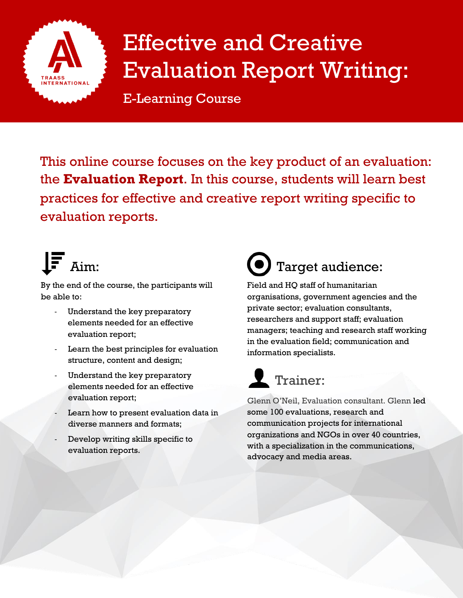

## Effective and Creative Evaluation Report Writing:

E-Learning Course

This online course focuses on the key product of an evaluation: the **Evaluation Report**. In this course, students will learn best practices for effective and creative report writing specific to evaluation reports.

# $I$ . Aim:

By the end of the course, the participants will be able to:

- Understand the key preparatory elements needed for an effective evaluation report;
- Learn the best principles for evaluation structure, content and design;
- Understand the key preparatory elements needed for an effective evaluation report;
- Learn how to present evaluation data in diverse manners and formats;
- Develop writing skills specific to evaluation reports.

## Target audience:

Field and HQ staff of humanitarian organisations, government agencies and the private sector; evaluation consultants, researchers and support staff; evaluation managers; teaching and research staff working in the evaluation field; communication and information specialists.

## **1** Trainer:

Glenn O'Neil, Evaluation consultant. Glenn led some 100 evaluations, research and communication projects for international organizations and NGOs in over 40 countries, with a specialization in the communications, advocacy and media areas.